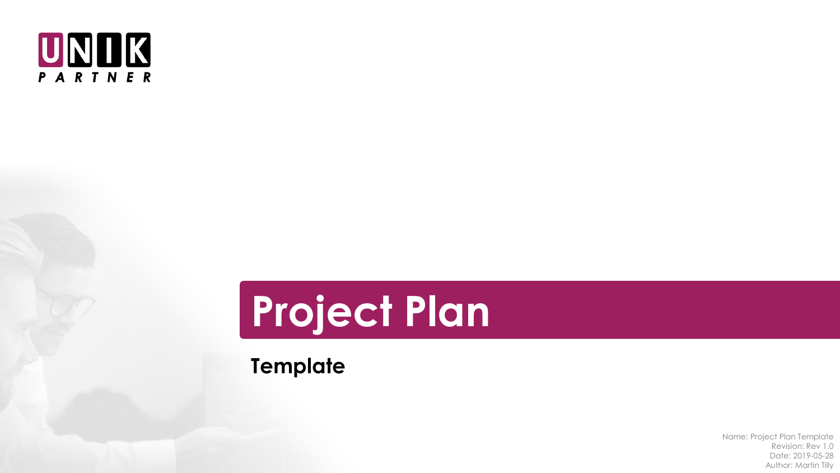



**Template**

Name: Project Plan Template Revision: Rev 1.0 Date: 2019-05-28 Author: Martin Tilly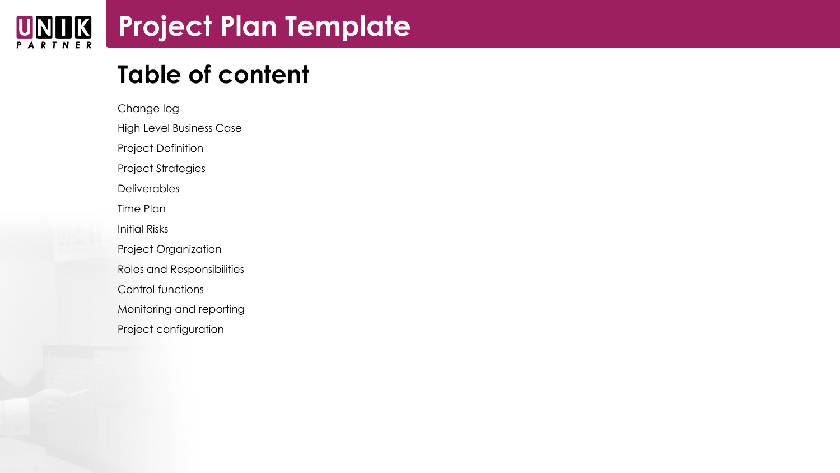#### **Project Plan Template** NIIK **RTNER**

# **Table of content**

Change log High Level Business Case Project Definition Project Strategies **Deliverables** Time Plan Initial Risks Project Organization Roles and Responsibilities Control functions Monitoring and reporting Project configuration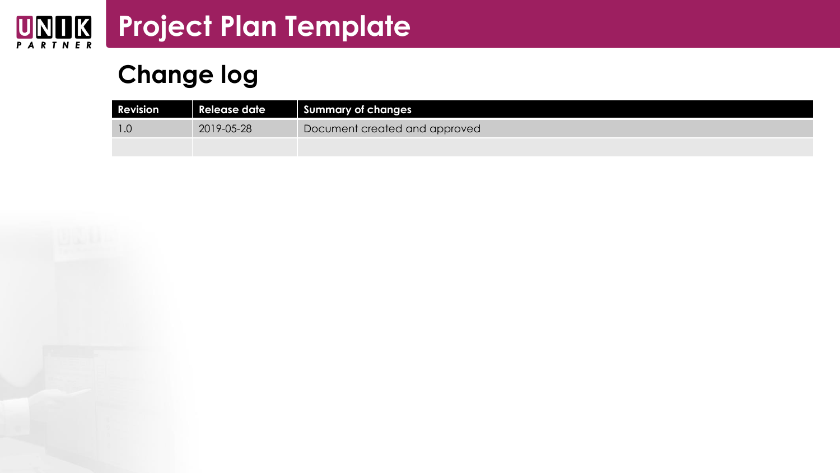### **Project Plan Template** UNOK

# **Change log**

| <b>Revision</b> | Release date | Summary of changes            |
|-----------------|--------------|-------------------------------|
| 1.C             | 2019-05-28   | Document created and approved |
|                 |              |                               |

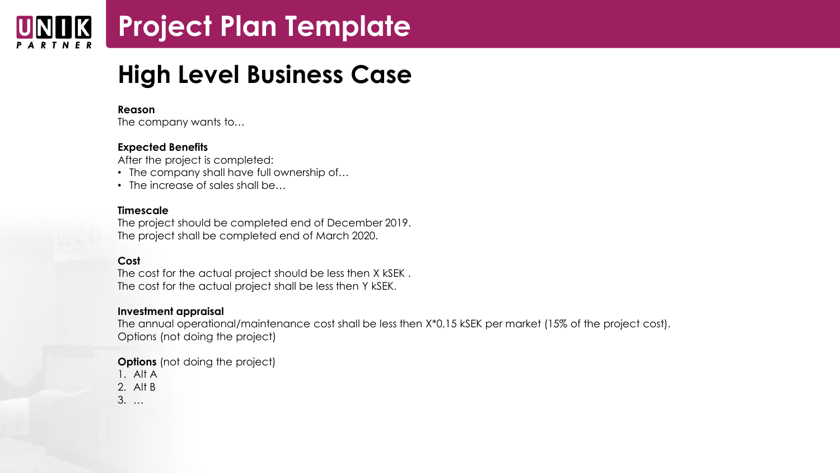# **Project Plan Template**

### **High Level Business Case**

#### **Reason**

The company wants to…

#### **Expected Benefits**

After the project is completed:

- The company shall have full ownership of...
- The increase of sales shall be...

#### **Timescale**

The project should be completed end of December 2019. The project shall be completed end of March 2020.

#### **Cost**

The cost for the actual project should be less then X kSEK . The cost for the actual project shall be less then Y kSEK.

#### **Investment appraisal**

The annual operational/maintenance cost shall be less then X\*0,15 kSEK per market (15% of the project cost). Options (not doing the project)

**Options** (not doing the project)

1. Alt A

2. Alt B

3. …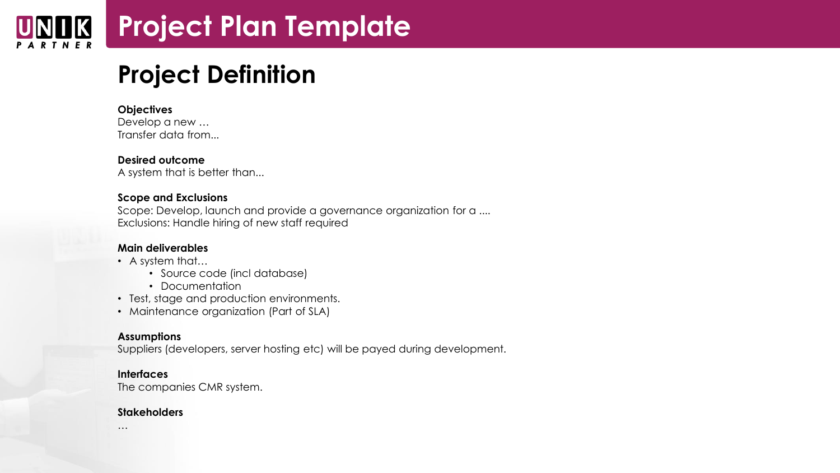### **Project Plan Template JK**

# **Project Definition**

#### **Objectives**

Develop a new … Transfer data from...

#### **Desired outcome**

A system that is better than...

#### **Scope and Exclusions**

Scope: Develop, launch and provide a governance organization for a .... Exclusions: Handle hiring of new staff required

#### **Main deliverables**

- A system that…
	- Source code (incl database)
	- Documentation
- Test, stage and production environments.
- Maintenance organization (Part of SLA)

#### **Assumptions**

Suppliers (developers, server hosting etc) will be payed during development.

#### **Interfaces**

The companies CMR system.

#### **Stakeholders**

…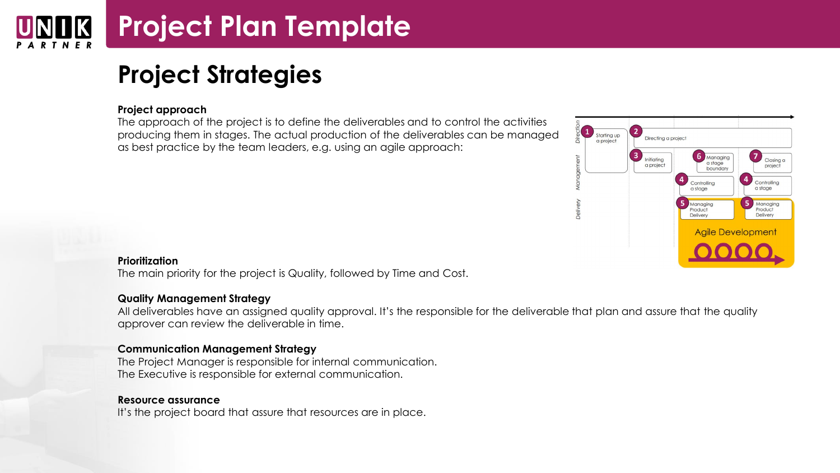# **Project Plan Template**

# **Project Strategies**

#### **Project approach**

The approach of the project is to define the deliverables and to control the activities producing them in stages. The actual production of the deliverables can be managed as best practice by the team leaders, e.g. using an agile approach:



#### **Prioritization**

The main priority for the project is Quality, followed by Time and Cost.

#### **Quality Management Strategy**

All deliverables have an assigned quality approval. It's the responsible for the deliverable that plan and assure that the quality approver can review the deliverable in time.

#### **Communication Management Strategy**

The Project Manager is responsible for internal communication. The Executive is responsible for external communication.

#### **Resource assurance**

It's the project board that assure that resources are in place.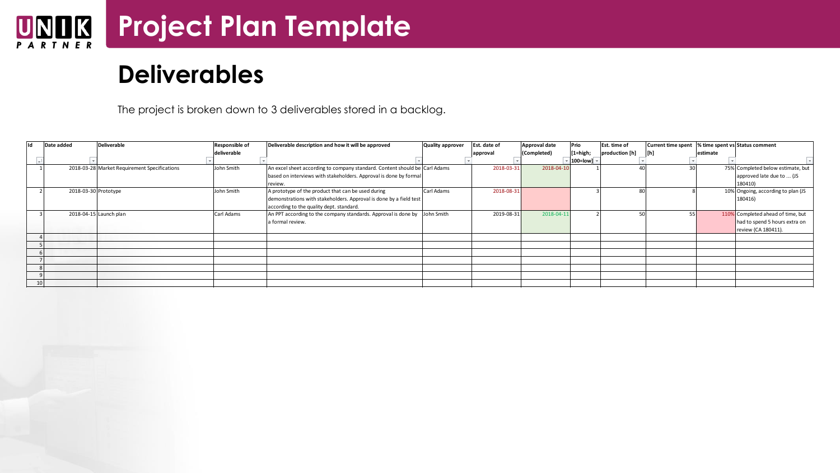### **Project Plan Template**  $\underset{P \text{ A R T N E R}}{\text{UN}}$

|     |                      | <b>Deliverables</b>                          |                |                                                                                                                                                                      |                  |              |                      |                    |                |                    |           |                                                                                           |
|-----|----------------------|----------------------------------------------|----------------|----------------------------------------------------------------------------------------------------------------------------------------------------------------------|------------------|--------------|----------------------|--------------------|----------------|--------------------|-----------|-------------------------------------------------------------------------------------------|
|     |                      |                                              |                | The project is broken down to 3 deliverables stored in a backlog.                                                                                                    |                  |              |                      |                    |                |                    |           |                                                                                           |
| lıd | Date added           | <b>Deliverable</b>                           | Responsible of | Deliverable description and how it will be approved                                                                                                                  | Quality approver | Est. date of | <b>Approval date</b> | Prio               | Est. time of   | Current time spent |           | % time spent vs Status comment                                                            |
|     |                      |                                              | deliverable    |                                                                                                                                                                      |                  | approval     | (Completed)          | $[1=high;$         | production [h] | [h]                | lestimate |                                                                                           |
|     |                      | 2018-03-28 Market Requirement Specifications | John Smith     | An excel sheet according to company standard. Content should be Carl Adams                                                                                           |                  | 2018-03-31   | 2018-04-10           | $100$ =lowl $\sim$ | $\Lambda$      | 30                 |           |                                                                                           |
|     |                      |                                              |                | based on interviews with stakeholders. Approval is done by formal<br>review.                                                                                         |                  |              |                      |                    |                |                    |           | 75% Completed below estimate, but<br>approved late due to  (JS<br>180410)                 |
|     | 2018-03-30 Prototype |                                              | John Smith     | A prototype of the product that can be used during<br>demonstrations with stakeholders. Approval is done by a field test<br>according to the quality dept. standard. | Carl Adams       | 2018-08-31   |                      |                    | 80             |                    |           | 10% Ongoing, according to plan (JS<br>180416)                                             |
|     |                      | 2018-04-15 Launch plan                       | Carl Adams     | An PPT according to the company standards. Approval is done by John Smith<br>a formal review.                                                                        |                  | 2019-08-31   | 2018-04-11           |                    | 50             | 55                 |           | 110% Completed ahead of time, but<br>had to spend 5 hours extra on<br>review (CA 180411). |
|     |                      |                                              |                |                                                                                                                                                                      |                  |              |                      |                    |                |                    |           |                                                                                           |
|     |                      |                                              |                |                                                                                                                                                                      |                  |              |                      |                    |                |                    |           |                                                                                           |
|     |                      |                                              |                |                                                                                                                                                                      |                  |              |                      |                    |                |                    |           |                                                                                           |
|     |                      |                                              |                |                                                                                                                                                                      |                  |              |                      |                    |                |                    |           |                                                                                           |
|     |                      |                                              |                |                                                                                                                                                                      |                  |              |                      |                    |                |                    |           |                                                                                           |
|     | 10                   |                                              |                |                                                                                                                                                                      |                  |              |                      |                    |                |                    |           |                                                                                           |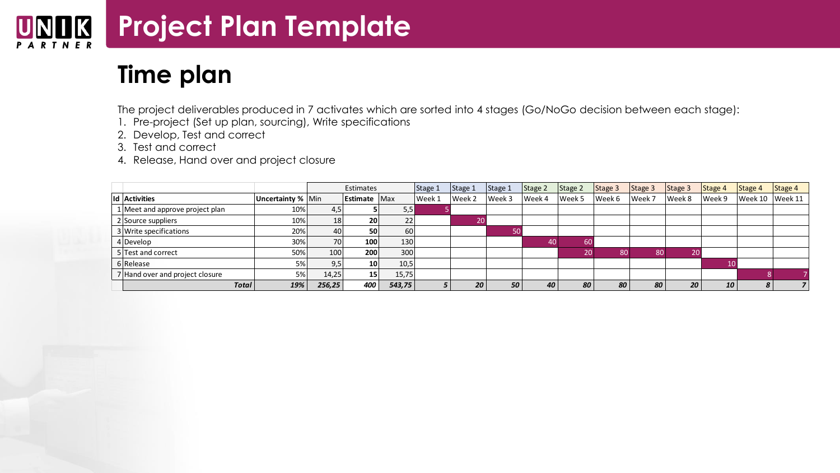#### **Project Plan Template NIIK** U PARTNER

### **Time plan**

The project deliverables produced in 7 activates which are sorted into 4 stages (Go/NoGo decision between each stage):

- 1. Pre-project (Set up plan, sourcing), Write specifications
- 2. Develop, Test and correct
- 3. Test and correct
- 4. Release, Hand over and project closure

|                                 |                   |                  | Estimates           |        | Stage 1 | Stage 1 | Stage 1 | Stage 2 | Stage 2 | Stage 3 | Stage 3 | Stage 3 | Stage 4 | Stage 4 | Stage 4 |
|---------------------------------|-------------------|------------------|---------------------|--------|---------|---------|---------|---------|---------|---------|---------|---------|---------|---------|---------|
| Id Activities                   | Uncertainty % Min |                  | <b>Estimate</b> Max |        | Week 1  | Week 2  | Week 3  | Week 4  | Week 5  | Week 6  | Week 7  | Week 8  | Week 9  | Week 10 | Week 11 |
| 1 Meet and approve project plan | 10%               | 4,5              |                     | 5,5    |         |         |         |         |         |         |         |         |         |         |         |
| 2 Source suppliers              | 10%               | 18 <sup>1</sup>  | <b>20</b>           | 22     |         |         |         |         |         |         |         |         |         |         |         |
| 3 Write specifications          | 20%               | 40               | 50                  | 60     |         |         |         |         |         |         |         |         |         |         |         |
| 4 Develop                       | 30%               | 70               | 100                 | 130    |         |         |         | 40      |         |         |         |         |         |         |         |
| 5 Test and correct              | 50%               | 100              | 200                 | 300    |         |         |         |         |         |         | 80      |         |         |         |         |
| 6 Release                       | 5%                | 9,5 <sub>1</sub> | 10 <sup>1</sup>     | 10,5   |         |         |         |         |         |         |         |         | 10      |         |         |
| 7 Hand over and project closure | 5%                | 14,25            | 15 <sub>l</sub>     | 15,75  |         |         |         |         |         |         |         |         |         |         |         |
| <b>Total</b>                    | 19%               | 256,25           | 400                 | 543,75 |         | 20      | 50      | 40      | 80      | 80      | 80      | 20      | 10      |         |         |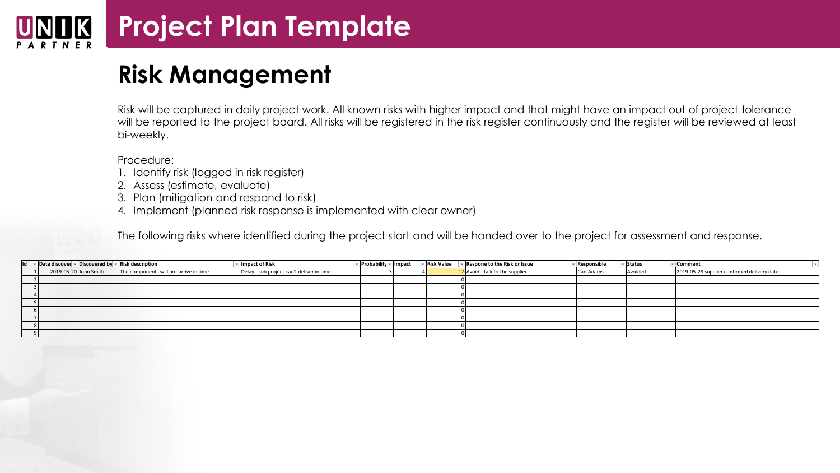# **Project Plan Template**

### **Risk Management**

Risk will be captured in daily project work. All known risks with higher impact and that might have an impact out of project tolerance will be reported to the project board. All risks will be registered in the risk register continuously and the register will be reviewed at least bi-weekly.

Procedure:

- 1. Identify risk (logged in risk register)
- 2. Assess (estimate, evaluate)
- 3. Plan (mitigation and respond to risk)
- 4. Implement (planned risk response is implemented with clear owner)

|                                                                                     | 2. Assess (estimate, evaluate)<br>3. Plan (mitigation and respond to risk) | 4. Implement (planned risk response is implemented with clear owner)<br>The following risks where identified during the project start and will be handed over to the project for assessment and response. |                        |                   |                                |             |          |                                             |  |
|-------------------------------------------------------------------------------------|----------------------------------------------------------------------------|-----------------------------------------------------------------------------------------------------------------------------------------------------------------------------------------------------------|------------------------|-------------------|--------------------------------|-------------|----------|---------------------------------------------|--|
| Id $\ \cdot\ $ Date discover $\ \cdot\ $ Discovered by $\ \cdot\ $ Risk description |                                                                            | Impact of Risk                                                                                                                                                                                            | ▼ Probability ▼ Impact | <b>Risk Value</b> | Respone to the Risk or Issue   | Responsible | ▼ Status | Comment                                     |  |
| 2019-05-20 John Smith                                                               | The components will not arrive in time                                     | Delay - sub project can't deliver in time                                                                                                                                                                 |                        |                   | 2 Avoid - talk to the supplier | Carl Adams  | Avoided  | 2019-05-28 supplier confirmed delivery date |  |
|                                                                                     |                                                                            |                                                                                                                                                                                                           |                        |                   |                                |             |          |                                             |  |
|                                                                                     |                                                                            |                                                                                                                                                                                                           |                        |                   |                                |             |          |                                             |  |
|                                                                                     |                                                                            |                                                                                                                                                                                                           |                        |                   |                                |             |          |                                             |  |
|                                                                                     |                                                                            |                                                                                                                                                                                                           |                        |                   |                                |             |          |                                             |  |
|                                                                                     |                                                                            |                                                                                                                                                                                                           |                        |                   |                                |             |          |                                             |  |
|                                                                                     |                                                                            |                                                                                                                                                                                                           |                        |                   |                                |             |          |                                             |  |
|                                                                                     |                                                                            |                                                                                                                                                                                                           |                        |                   |                                |             |          |                                             |  |
|                                                                                     |                                                                            |                                                                                                                                                                                                           |                        |                   |                                |             |          |                                             |  |
|                                                                                     |                                                                            |                                                                                                                                                                                                           |                        |                   |                                |             |          |                                             |  |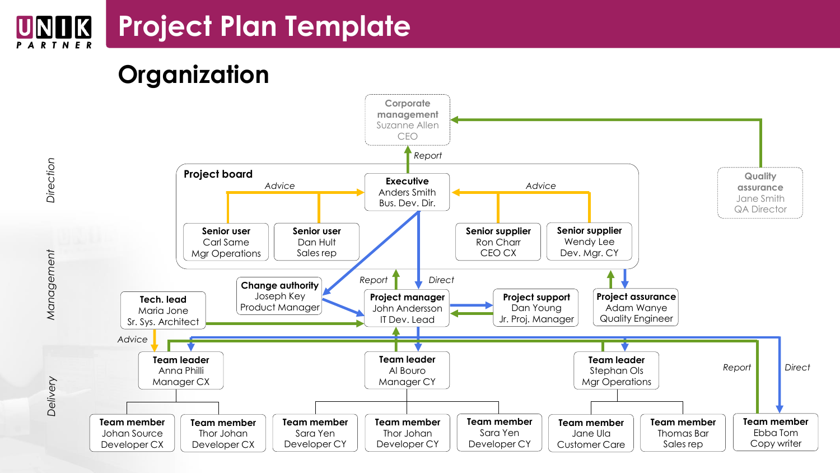### **Project Plan Template** UNIK



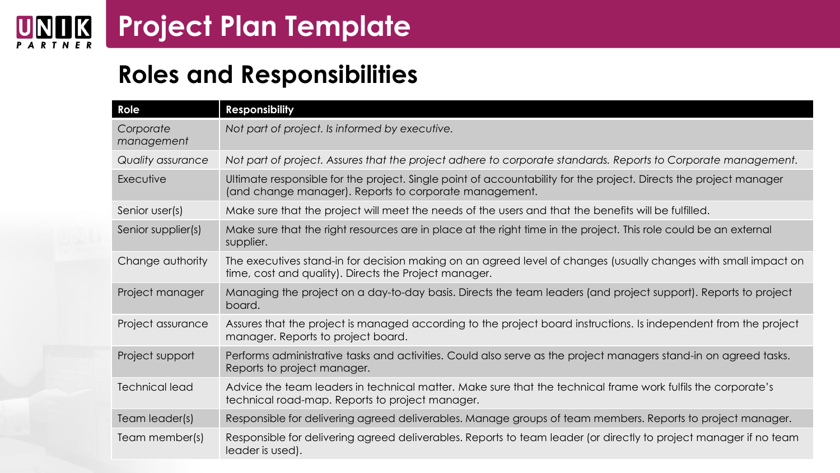### **Project Plan Template**  $\underset{P \text{ A R T N E R}}{\text{UN}}$

### **Roles and Responsibilities**

| Role                    | <b>Responsibility</b>                                                                                                                                                       |
|-------------------------|-----------------------------------------------------------------------------------------------------------------------------------------------------------------------------|
| Corporate<br>management | Not part of project. Is informed by executive.                                                                                                                              |
| Quality assurance       | Not part of project. Assures that the project adhere to corporate standards. Reports to Corporate management.                                                               |
| Executive               | Ultimate responsible for the project. Single point of accountability for the project. Directs the project manager<br>(and change manager). Reports to corporate management. |
| Senior user(s)          | Make sure that the project will meet the needs of the users and that the benefits will be fulfilled.                                                                        |
| Senior supplier(s)      | Make sure that the right resources are in place at the right time in the project. This role could be an external<br>supplier.                                               |
| Change authority        | The executives stand-in for decision making on an agreed level of changes (usually changes with small impact on<br>time, cost and quality). Directs the Project manager.    |
| Project manager         | Managing the project on a day-to-day basis. Directs the team leaders (and project support). Reports to project<br>board.                                                    |
| Project assurance       | Assures that the project is managed according to the project board instructions. Is independent from the project<br>manager. Reports to project board.                      |
| Project support         | Performs administrative tasks and activities. Could also serve as the project managers stand-in on agreed tasks.<br>Reports to project manager.                             |
| <b>Technical lead</b>   | Advice the team leaders in technical matter. Make sure that the technical frame work fulfils the corporate's<br>technical road-map. Reports to project manager.             |
| Team leader(s)          | Responsible for delivering agreed deliverables. Manage groups of team members. Reports to project manager.                                                                  |
| Team member(s)          | Responsible for delivering agreed deliverables. Reports to team leader (or directly to project manager if no team<br>leader is used).                                       |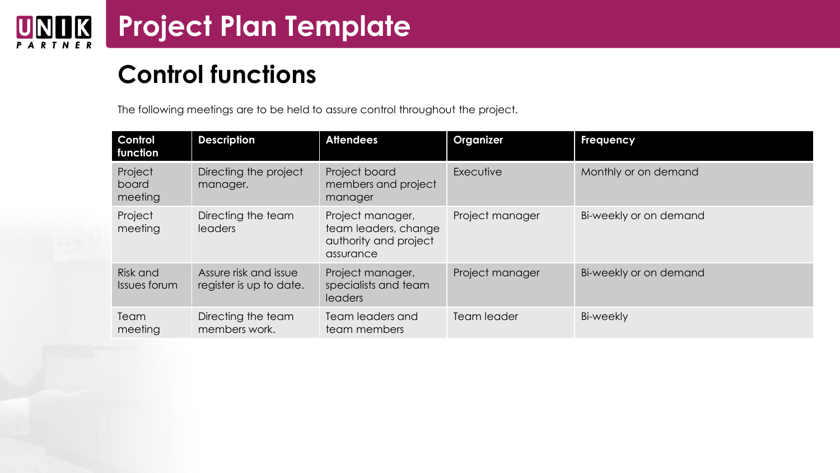# **Control functions**

The following meetings are to be held to assure control throughout the project.

| <b>Control</b><br>function  | <b>Description</b>                               | <b>Attendees</b>                                                               | <b>Organizer</b> | <b>Frequency</b>       |
|-----------------------------|--------------------------------------------------|--------------------------------------------------------------------------------|------------------|------------------------|
| Project<br>board<br>meeting | Directing the project<br>manager.                | Project board<br>members and project<br>manager                                | Executive        | Monthly or on demand   |
| Project<br>meeting          | Directing the team<br><b>leaders</b>             | Project manager,<br>team leaders, change<br>authority and project<br>assurance | Project manager  | Bi-weekly or on demand |
| Risk and<br>Issues forum    | Assure risk and issue<br>register is up to date. | Project manager,<br>specialists and team<br>leaders                            | Project manager  | Bi-weekly or on demand |
| Team<br>meeting             | Directing the team<br>members work.              | Team leaders and<br>team members                                               | Team leader      | Bi-weekly              |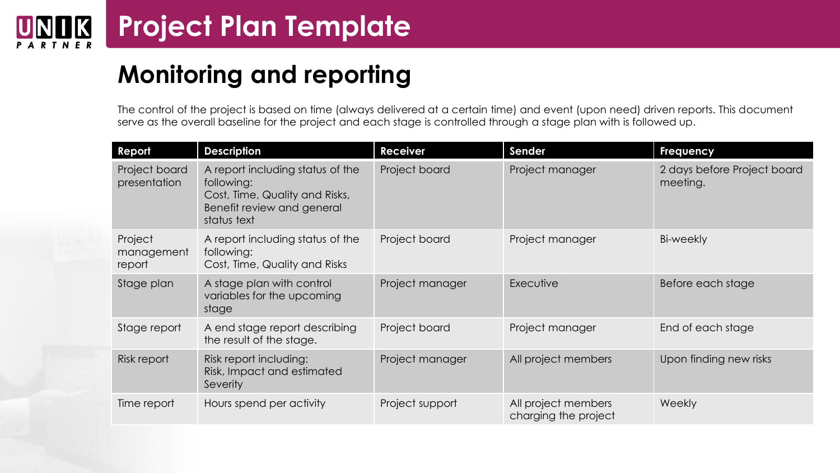### **Project Plan Template K**

## **Monitoring and reporting**

The control of the project is based on time (always delivered at a certain time) and event (upon need) driven reports. This document serve as the overall baseline for the project and each stage is controlled through a stage plan with is followed up.

| Report                          | <b>Description</b>                                                                                                            | <b>Receiver</b> | Sender                                      | <b>Frequency</b>                        |
|---------------------------------|-------------------------------------------------------------------------------------------------------------------------------|-----------------|---------------------------------------------|-----------------------------------------|
| Project board<br>presentation   | A report including status of the<br>following:<br>Cost, Time, Quality and Risks,<br>Benefit review and general<br>status text | Project board   | Project manager                             | 2 days before Project board<br>meeting. |
| Project<br>management<br>report | A report including status of the<br>following:<br>Cost, Time, Quality and Risks                                               | Project board   | Project manager                             | Bi-weekly                               |
| Stage plan                      | A stage plan with control<br>variables for the upcoming<br>stage                                                              | Project manager | Executive                                   | Before each stage                       |
| Stage report                    | A end stage report describing<br>the result of the stage.                                                                     | Project board   | Project manager                             | End of each stage                       |
| Risk report                     | Risk report including:<br>Risk, Impact and estimated<br>Severity                                                              | Project manager | All project members                         | Upon finding new risks                  |
| Time report                     | Hours spend per activity                                                                                                      | Project support | All project members<br>charging the project | <b>Weekly</b>                           |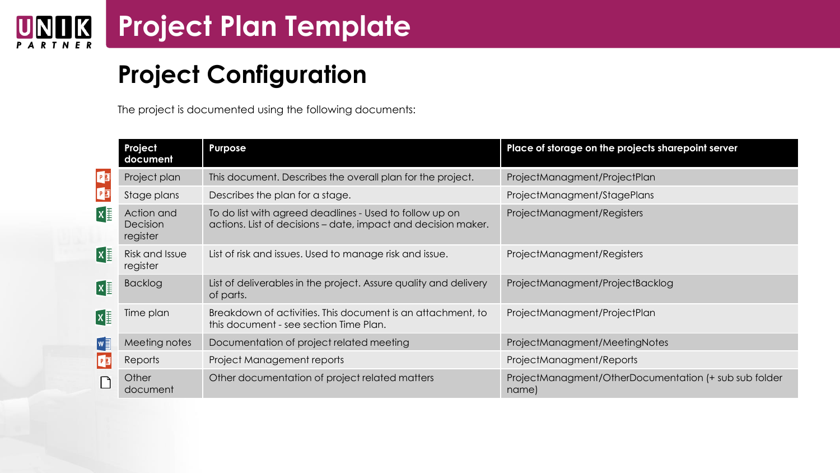### **Project Plan Template**  $\underset{P \text{ A R T N E R}}{\text{UN}}$

## **Project Configuration**

The project is documented using the following documents:

|              | Project<br>document                       | Purpose                                                                                                                  | Place of storage on the projects sharepoint server             |
|--------------|-------------------------------------------|--------------------------------------------------------------------------------------------------------------------------|----------------------------------------------------------------|
|              | Project plan                              | This document. Describes the overall plan for the project.                                                               | ProjectManagment/ProjectPlan                                   |
| PE<br>PE     | Stage plans                               | Describes the plan for a stage.                                                                                          | ProjectManagment/StagePlans                                    |
| X            | Action and<br><b>Decision</b><br>register | To do list with agreed deadlines - Used to follow up on<br>actions. List of decisions – date, impact and decision maker. | ProjectManagment/Registers                                     |
| $\mathbf{X}$ | Risk and Issue<br>register                | List of risk and issues. Used to manage risk and issue.                                                                  | ProjectManagment/Registers                                     |
| $x \equiv$   | <b>Backlog</b>                            | List of deliverables in the project. Assure quality and delivery<br>of parts.                                            | ProjectManagment/ProjectBacklog                                |
| $x \equiv$   | Time plan                                 | Breakdown of activities. This document is an attachment, to<br>this document - see section Time Plan.                    | ProjectManagment/ProjectPlan                                   |
| $N \equiv$   | Meeting notes                             | Documentation of project related meeting                                                                                 | ProjectManagment/MeetingNotes                                  |
| P            | Reports                                   | Project Management reports                                                                                               | ProjectManagment/Reports                                       |
|              | Other<br>document                         | Other documentation of project related matters                                                                           | ProjectManagment/OtherDocumentation (+ sub sub folder<br>name) |